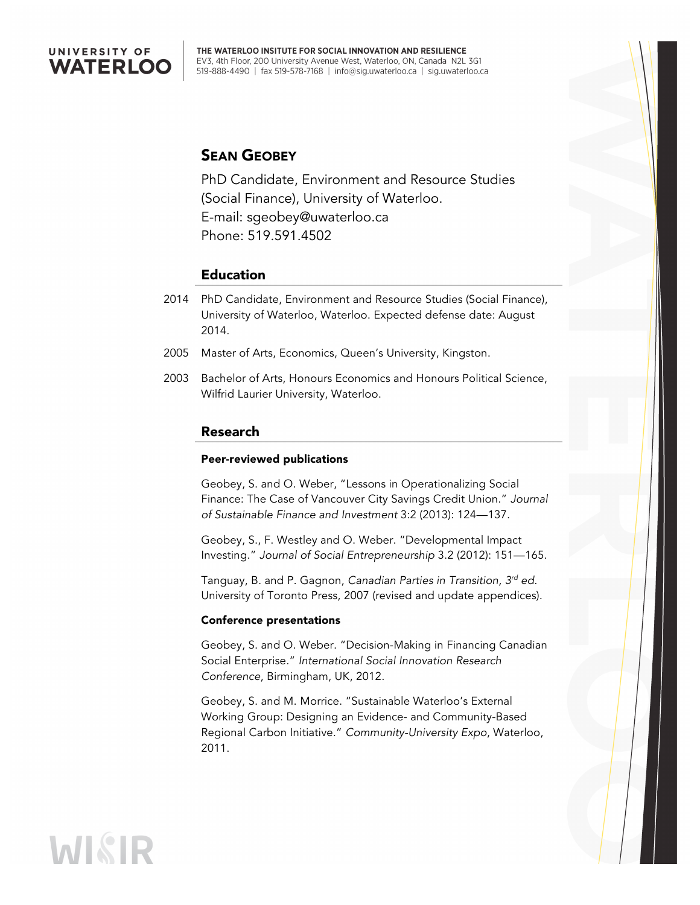

**WISIR** 

THE WATERLOO INSITUTE FOR SOCIAL INNOVATION AND RESILIENCE EV3, 4th Floor, 200 University Avenue West, Waterloo, ON, Canada N2L 3G1 519-888-4490 | fax 519-578-7168 | info@sig.uwaterloo.ca | sig.uwaterloo.ca

# SEAN GEOBEY

PhD Candidate, Environment and Resource Studies (Social Finance), University of Waterloo. E-mail: sgeobey@uwaterloo.ca Phone: 519.591.4502

## Education

- 2014 PhD Candidate, Environment and Resource Studies (Social Finance), University of Waterloo, Waterloo. Expected defense date: August 2014.
- 2005 Master of Arts, Economics, Queen's University, Kingston.
- 2003 Bachelor of Arts, Honours Economics and Honours Political Science, Wilfrid Laurier University, Waterloo.

### Research

#### Peer-reviewed publications

Geobey, S. and O. Weber, "Lessons in Operationalizing Social Finance: The Case of Vancouver City Savings Credit Union." *Journal of Sustainable Finance and Investment* 3:2 (2013): 124—137.

Geobey, S., F. Westley and O. Weber. "Developmental Impact Investing." *Journal of Social Entrepreneurship* 3.2 (2012): 151—165.

Tanguay, B. and P. Gagnon, *Canadian Parties in Transition, 3rd ed*. University of Toronto Press, 2007 (revised and update appendices).

#### Conference presentations

Geobey, S. and O. Weber. "Decision-Making in Financing Canadian Social Enterprise." *International Social Innovation Research Conference*, Birmingham, UK, 2012.

Geobey, S. and M. Morrice. "Sustainable Waterloo's External Working Group: Designing an Evidence- and Community-Based Regional Carbon Initiative." *Community-University Expo*, Waterloo, 2011.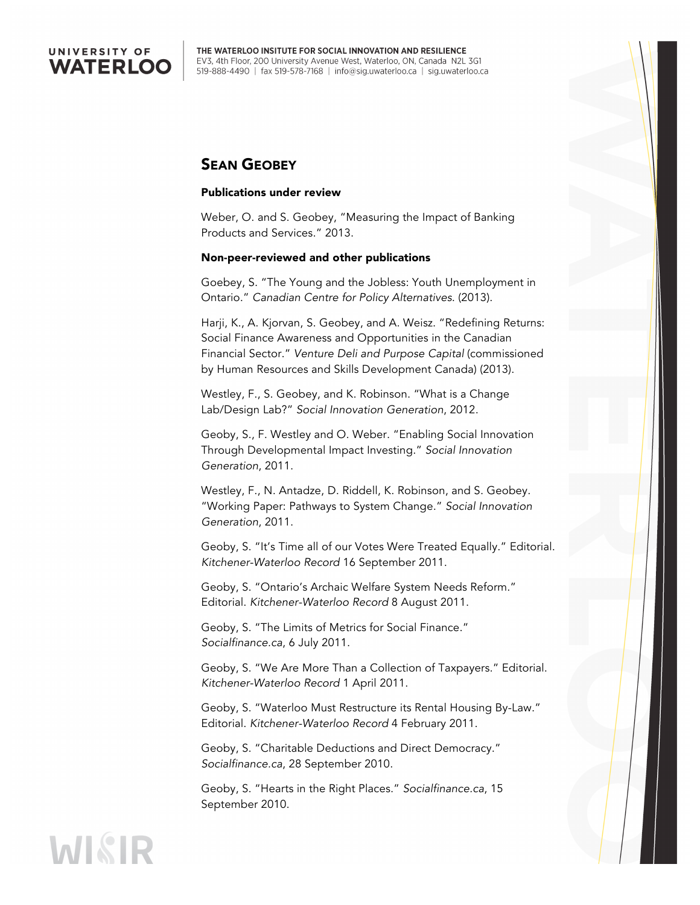

# SEAN GEOBEY

#### Publications under review

Weber, O. and S. Geobey, "Measuring the Impact of Banking Products and Services." 2013.

#### Non-peer-reviewed and other publications

Goebey, S. "The Young and the Jobless: Youth Unemployment in Ontario." *Canadian Centre for Policy Alternatives*. (2013).

Harji, K., A. Kjorvan, S. Geobey, and A. Weisz. "Redefining Returns: Social Finance Awareness and Opportunities in the Canadian Financial Sector." *Venture Deli and Purpose Capital* (commissioned by Human Resources and Skills Development Canada) (2013).

Westley, F., S. Geobey, and K. Robinson. "What is a Change Lab/Design Lab?" *Social Innovation Generation*, 2012.

Geoby, S., F. Westley and O. Weber. "Enabling Social Innovation Through Developmental Impact Investing." *Social Innovation Generation*, 2011.

Westley, F., N. Antadze, D. Riddell, K. Robinson, and S. Geobey. "Working Paper: Pathways to System Change." *Social Innovation Generation*, 2011.

Geoby, S. "It's Time all of our Votes Were Treated Equally." Editorial. *Kitchener-Waterloo Record* 16 September 2011.

Geoby, S. "Ontario's Archaic Welfare System Needs Reform." Editorial. *Kitchener-Waterloo Record* 8 August 2011.

Geoby, S. "The Limits of Metrics for Social Finance." *Socialfinance.ca*, 6 July 2011.

Geoby, S. "We Are More Than a Collection of Taxpayers." Editorial. *Kitchener-Waterloo Record* 1 April 2011.

Geoby, S. "Waterloo Must Restructure its Rental Housing By-Law." Editorial. *Kitchener-Waterloo Record* 4 February 2011.

Geoby, S. "Charitable Deductions and Direct Democracy." *Socialfinance.ca*, 28 September 2010.

Geoby, S. "Hearts in the Right Places." *Socialfinance.ca*, 15 September 2010.

# **WISIR**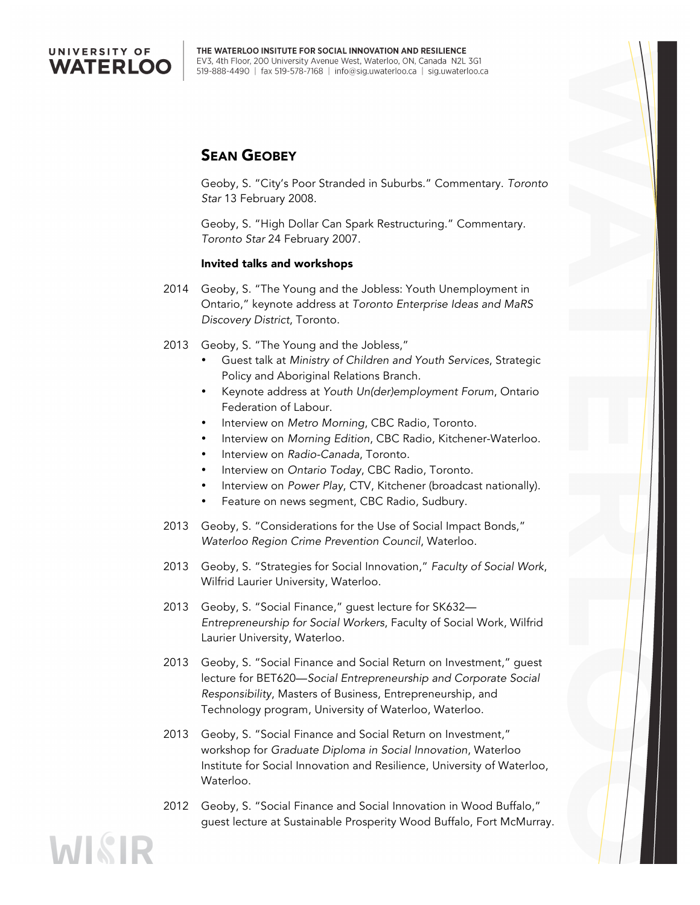

# SEAN GEOBEY

Geoby, S. "City's Poor Stranded in Suburbs." Commentary. *Toronto Star* 13 February 2008.

Geoby, S. "High Dollar Can Spark Restructuring." Commentary. *Toronto Star* 24 February 2007.

#### Invited talks and workshops

- 2014 Geoby, S. "The Young and the Jobless: Youth Unemployment in Ontario," keynote address at *Toronto Enterprise Ideas and MaRS Discovery District*, Toronto.
- 2013 Geoby, S. "The Young and the Jobless,"
	- Guest talk at *Ministry of Children and Youth Services*, Strategic Policy and Aboriginal Relations Branch.
	- Keynote address at *Youth Un(der)employment Forum*, Ontario Federation of Labour.
	- Interview on *Metro Morning*, CBC Radio, Toronto.
	- Interview on *Morning Edition*, CBC Radio, Kitchener-Waterloo.
	- Interview on *Radio-Canada*, Toronto.
	- Interview on *Ontario Today*, CBC Radio, Toronto.
	- Interview on *Power Play*, CTV, Kitchener (broadcast nationally).
	- Feature on news segment, CBC Radio, Sudbury.
- 2013 Geoby, S. "Considerations for the Use of Social Impact Bonds," *Waterloo Region Crime Prevention Council*, Waterloo.
- 2013 Geoby, S. "Strategies for Social Innovation," *Faculty of Social Work*, Wilfrid Laurier University, Waterloo.
- 2013 Geoby, S. "Social Finance," guest lecture for SK632— *Entrepreneurship for Social Workers*, Faculty of Social Work, Wilfrid Laurier University, Waterloo.
- 2013 Geoby, S. "Social Finance and Social Return on Investment," guest lecture for BET620—*Social Entrepreneurship and Corporate Social Responsibility*, Masters of Business, Entrepreneurship, and Technology program, University of Waterloo, Waterloo.
- 2013 Geoby, S. "Social Finance and Social Return on Investment," workshop for *Graduate Diploma in Social Innovation*, Waterloo Institute for Social Innovation and Resilience, University of Waterloo, Waterloo.
- 2012 Geoby, S. "Social Finance and Social Innovation in Wood Buffalo," guest lecture at Sustainable Prosperity Wood Buffalo, Fort McMurray.

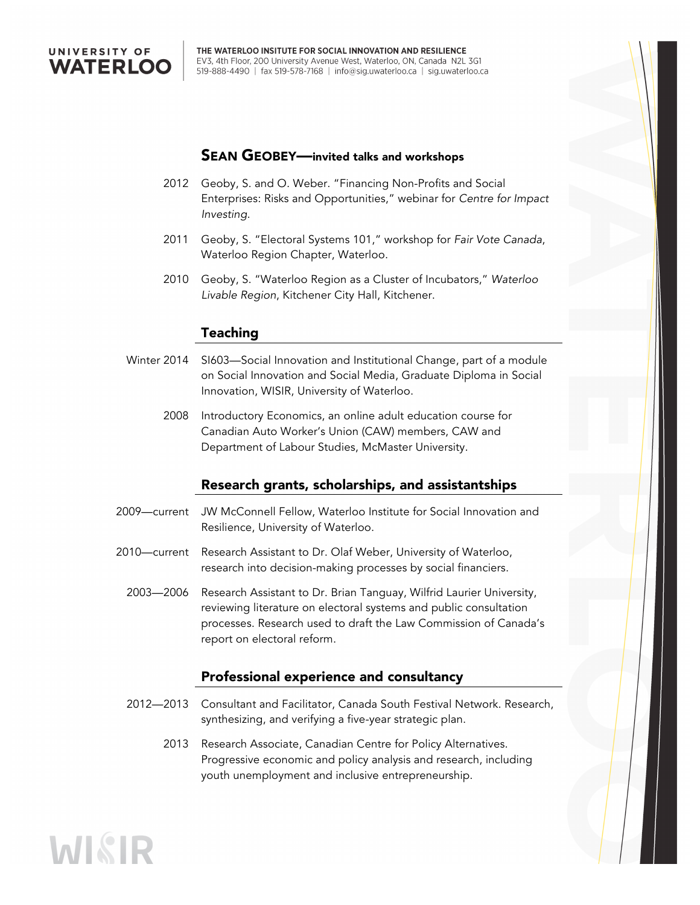

#### SEAN GEOBEY—invited talks and workshops

- 2012 Geoby, S. and O. Weber. "Financing Non-Profits and Social Enterprises: Risks and Opportunities," webinar for *Centre for Impact Investing*.
- 2011 Geoby, S. "Electoral Systems 101," workshop for *Fair Vote Canada*, Waterloo Region Chapter, Waterloo.
- 2010 Geoby, S. "Waterloo Region as a Cluster of Incubators," *Waterloo Livable Region*, Kitchener City Hall, Kitchener.

## Teaching

- Winter 2014 SI603—Social Innovation and Institutional Change, part of a module on Social Innovation and Social Media, Graduate Diploma in Social Innovation, WISIR, University of Waterloo.
	- 2008 Introductory Economics, an online adult education course for Canadian Auto Worker's Union (CAW) members, CAW and Department of Labour Studies, McMaster University.

## Research grants, scholarships, and assistantships

- 2009—current JW McConnell Fellow, Waterloo Institute for Social Innovation and Resilience, University of Waterloo.
- 2010—current Research Assistant to Dr. Olaf Weber, University of Waterloo, research into decision-making processes by social financiers.
	- 2003—2006 Research Assistant to Dr. Brian Tanguay, Wilfrid Laurier University, reviewing literature on electoral systems and public consultation processes. Research used to draft the Law Commission of Canada's report on electoral reform.

## Professional experience and consultancy

- 2012—2013 Consultant and Facilitator, Canada South Festival Network. Research, synthesizing, and verifying a five-year strategic plan.
	- 2013 Research Associate, Canadian Centre for Policy Alternatives. Progressive economic and policy analysis and research, including youth unemployment and inclusive entrepreneurship.

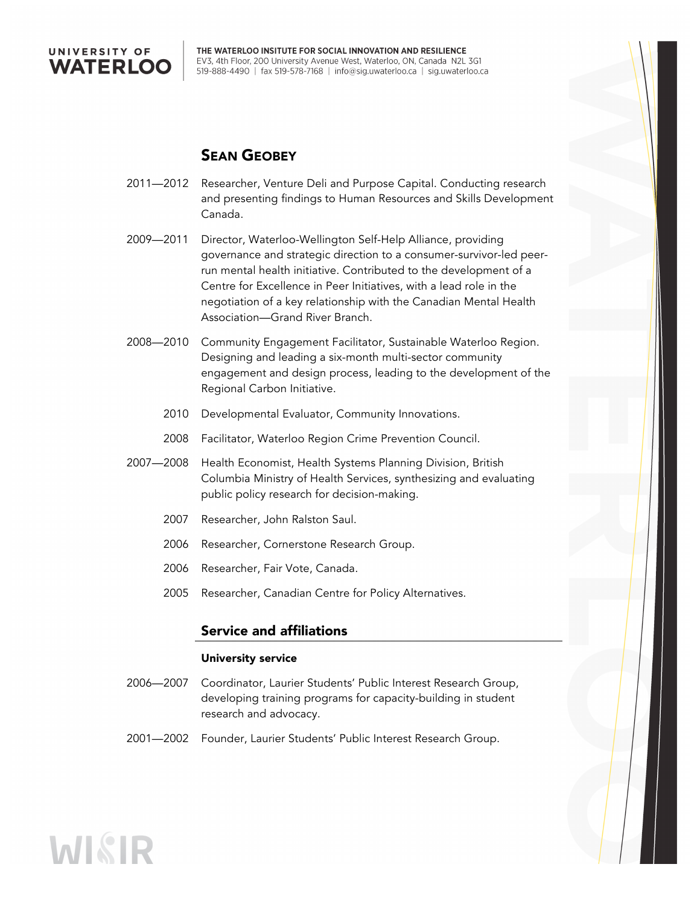

**WISIR** 

# SEAN GEOBEY

- 2011—2012 Researcher, Venture Deli and Purpose Capital. Conducting research and presenting findings to Human Resources and Skills Development Canada.
- 2009—2011 Director, Waterloo-Wellington Self-Help Alliance, providing governance and strategic direction to a consumer-survivor-led peerrun mental health initiative. Contributed to the development of a Centre for Excellence in Peer Initiatives, with a lead role in the negotiation of a key relationship with the Canadian Mental Health Association—Grand River Branch.
- 2008—2010 Community Engagement Facilitator, Sustainable Waterloo Region. Designing and leading a six-month multi-sector community engagement and design process, leading to the development of the Regional Carbon Initiative.
	- 2010 Developmental Evaluator, Community Innovations.
	- 2008 Facilitator, Waterloo Region Crime Prevention Council.
- 2007—2008 Health Economist, Health Systems Planning Division, British Columbia Ministry of Health Services, synthesizing and evaluating public policy research for decision-making.
	- 2007 Researcher, John Ralston Saul.
	- 2006 Researcher, Cornerstone Research Group.
	- 2006 Researcher, Fair Vote, Canada.
	- 2005 Researcher, Canadian Centre for Policy Alternatives.

## Service and affiliations

#### University service

- 2006—2007 Coordinator, Laurier Students' Public Interest Research Group, developing training programs for capacity-building in student research and advocacy.
- 2001—2002 Founder, Laurier Students' Public Interest Research Group.